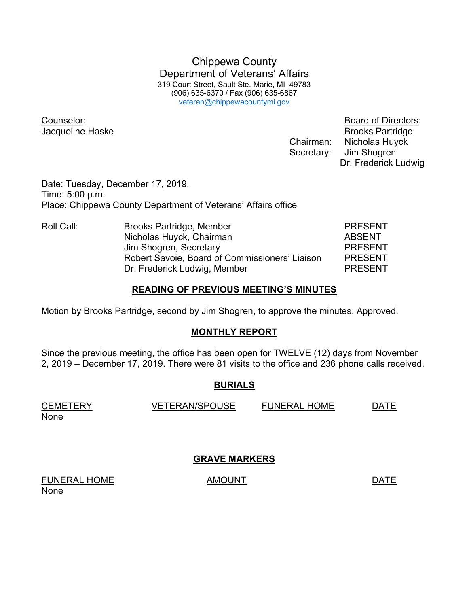Chippewa County Department of Veterans' Affairs 319 Court Street, Sault Ste. Marie, MI 49783 (906) 635-6370 / Fax (906) 635-6867 veteran@chippewacountymi.gov

Counselor: Board of Directors:

**Jacqueline Haske** Brooks Partridge Chairman: Nicholas Huyck Secretary: Jim Shogren Dr. Frederick Ludwig

Date: Tuesday, December 17, 2019. Time: 5:00 p.m. Place: Chippewa County Department of Veterans' Affairs office

Roll Call: Brooks Partridge, Member PRESENT Nicholas Huyck, Chairman **ABSENT** Jim Shogren, Secretary **PRESENT**  Robert Savoie, Board of Commissioners' Liaison PRESENT Dr. Frederick Ludwig, Member PRESENT

## READING OF PREVIOUS MEETING'S MINUTES

Motion by Brooks Partridge, second by Jim Shogren, to approve the minutes. Approved.

## MONTHLY REPORT

Since the previous meeting, the office has been open for TWELVE (12) days from November 2, 2019 – December 17, 2019. There were 81 visits to the office and 236 phone calls received.

## BURIALS

| <b>CEMETERY</b> | <b>VETERAN/SPOUSE</b> | <b>FUNERAL HOME</b> | <b>DATE</b> |
|-----------------|-----------------------|---------------------|-------------|
| None            |                       |                     |             |

GRAVE MARKERS

FUNERAL HOME AMOUNT AMOUNT None